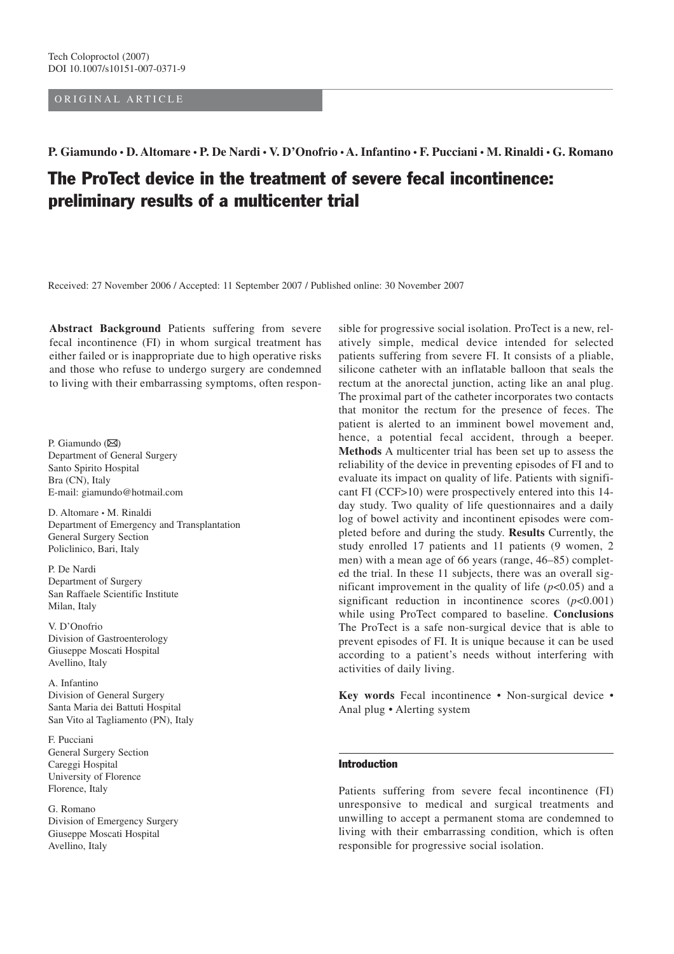# ORIGINAL ARTICLE

# The ProTect device in the treatment of severe fecal incontinence: preliminary results of a multicenter trial

Received: 27 November 2006 / Accepted: 11 September 2007 / Published online: 30 November 2007

**Abstract Background** Patients suffering from severe fecal incontinence (FI) in whom surgical treatment has either failed or is inappropriate due to high operative risks and those who refuse to undergo surgery are condemned to living with their embarrassing symptoms, often respon-

P. Giamundo (⊠) Department of General Surgery Santo Spirito Hospital Bra (CN), Italy E-mail: giamundo@hotmail.com

D. Altomare • M. Rinaldi Department of Emergency and Transplantation General Surgery Section Policlinico, Bari, Italy

P. De Nardi Department of Surgery San Raffaele Scientific Institute Milan, Italy

V. D'Onofrio Division of Gastroenterology Giuseppe Moscati Hospital Avellino, Italy

A. Infantino Division of General Surgery Santa Maria dei Battuti Hospital San Vito al Tagliamento (PN), Italy

F. Pucciani General Surgery Section Careggi Hospital University of Florence Florence, Italy

G. Romano Division of Emergency Surgery Giuseppe Moscati Hospital Avellino, Italy

sible for progressive social isolation. ProTect is a new, relatively simple, medical device intended for selected patients suffering from severe FI. It consists of a pliable, silicone catheter with an inflatable balloon that seals the rectum at the anorectal junction, acting like an anal plug. The proximal part of the catheter incorporates two contacts that monitor the rectum for the presence of feces. The patient is alerted to an imminent bowel movement and, hence, a potential fecal accident, through a beeper. **Methods** A multicenter trial has been set up to assess the reliability of the device in preventing episodes of FI and to evaluate its impact on quality of life. Patients with significant FI (CCF>10) were prospectively entered into this 14 day study. Two quality of life questionnaires and a daily log of bowel activity and incontinent episodes were completed before and during the study. **Results** Currently, the study enrolled 17 patients and 11 patients (9 women, 2 men) with a mean age of 66 years (range, 46–85) completed the trial. In these 11 subjects, there was an overall significant improvement in the quality of life  $(p<0.05)$  and a significant reduction in incontinence scores  $(p<0.001)$ while using ProTect compared to baseline. **Conclusions** The ProTect is a safe non-surgical device that is able to prevent episodes of FI. It is unique because it can be used according to a patient's needs without interfering with activities of daily living.

**Key words** Fecal incontinence • Non-surgical device • Anal plug • Alerting system

## Introduction

Patients suffering from severe fecal incontinence (FI) unresponsive to medical and surgical treatments and unwilling to accept a permanent stoma are condemned to living with their embarrassing condition, which is often responsible for progressive social isolation.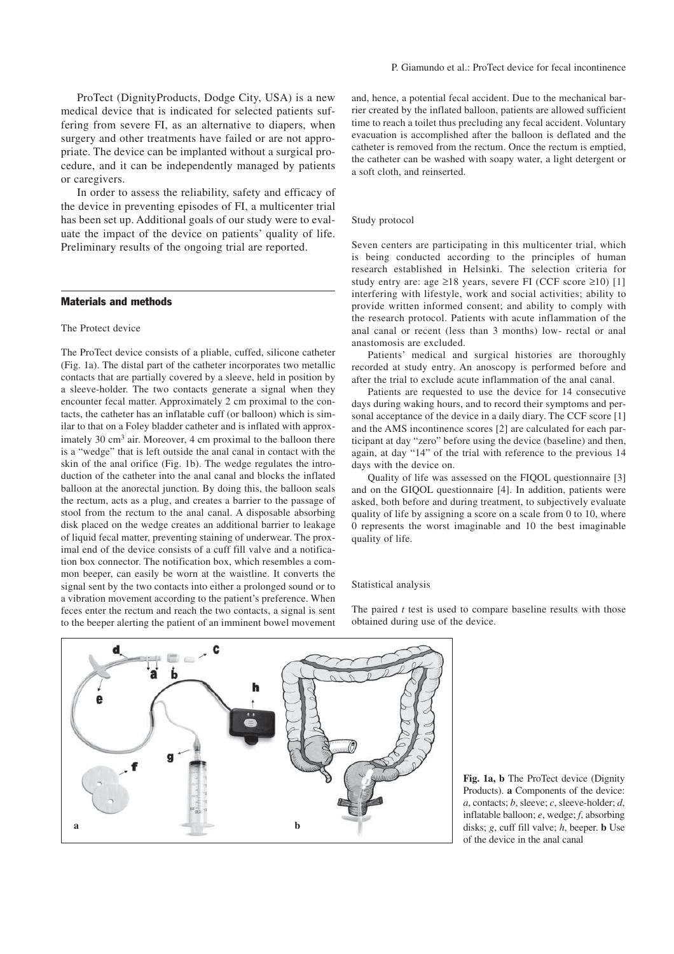ProTect (DignityProducts, Dodge City, USA) is a new medical device that is indicated for selected patients suffering from severe FI, as an alternative to diapers, when surgery and other treatments have failed or are not appropriate. The device can be implanted without a surgical procedure, and it can be independently managed by patients or caregivers.

In order to assess the reliability, safety and efficacy of the device in preventing episodes of FI, a multicenter trial has been set up. Additional goals of our study were to evaluate the impact of the device on patients' quality of life. Preliminary results of the ongoing trial are reported.

#### Materials and methods

### The Protect device

The ProTect device consists of a pliable, cuffed, silicone catheter (Fig. 1a). The distal part of the catheter incorporates two metallic contacts that are partially covered by a sleeve, held in position by a sleeve-holder. The two contacts generate a signal when they encounter fecal matter. Approximately 2 cm proximal to the contacts, the catheter has an inflatable cuff (or balloon) which is similar to that on a Foley bladder catheter and is inflated with approximately 30 cm<sup>3</sup> air. Moreover, 4 cm proximal to the balloon there is a "wedge" that is left outside the anal canal in contact with the skin of the anal orifice (Fig. 1b). The wedge regulates the introduction of the catheter into the anal canal and blocks the inflated balloon at the anorectal junction. By doing this, the balloon seals the rectum, acts as a plug, and creates a barrier to the passage of stool from the rectum to the anal canal. A disposable absorbing disk placed on the wedge creates an additional barrier to leakage of liquid fecal matter, preventing staining of underwear. The proximal end of the device consists of a cuff fill valve and a notification box connector. The notification box, which resembles a common beeper, can easily be worn at the waistline. It converts the signal sent by the two contacts into either a prolonged sound or to a vibration movement according to the patient's preference. When feces enter the rectum and reach the two contacts, a signal is sent to the beeper alerting the patient of an imminent bowel movement and, hence, a potential fecal accident. Due to the mechanical barrier created by the inflated balloon, patients are allowed sufficient time to reach a toilet thus precluding any fecal accident. Voluntary evacuation is accomplished after the balloon is deflated and the catheter is removed from the rectum. Once the rectum is emptied, the catheter can be washed with soapy water, a light detergent or a soft cloth, and reinserted.

#### Study protocol

Seven centers are participating in this multicenter trial, which is being conducted according to the principles of human research established in Helsinki. The selection criteria for study entry are: age  $\geq 18$  years, severe FI (CCF score  $\geq 10$ ) [1] interfering with lifestyle, work and social activities; ability to provide written informed consent; and ability to comply with the research protocol. Patients with acute inflammation of the anal canal or recent (less than 3 months) low- rectal or anal anastomosis are excluded.

Patients' medical and surgical histories are thoroughly recorded at study entry. An anoscopy is performed before and after the trial to exclude acute inflammation of the anal canal.

Patients are requested to use the device for 14 consecutive days during waking hours, and to record their symptoms and personal acceptance of the device in a daily diary. The CCF score [1] and the AMS incontinence scores [2] are calculated for each participant at day "zero" before using the device (baseline) and then, again, at day "14" of the trial with reference to the previous 14 days with the device on.

Quality of life was assessed on the FIQOL questionnaire [3] and on the GIQOL questionnaire [4]. In addition, patients were asked, both before and during treatment, to subjectively evaluate quality of life by assigning a score on a scale from 0 to 10, where 0 represents the worst imaginable and 10 the best imaginable quality of life.

#### Statistical analysis



The paired *t* test is used to compare baseline results with those obtained during use of the device.

**Fig. 1a, b** The ProTect device (Dignity Products). **a** Components of the device: *a*, contacts; *b*, sleeve; *c*, sleeve-holder; *d*, inflatable balloon; *e*, wedge; *f*, absorbing disks; *g*, cuff fill valve; *h*, beeper. **b** Use of the device in the anal canal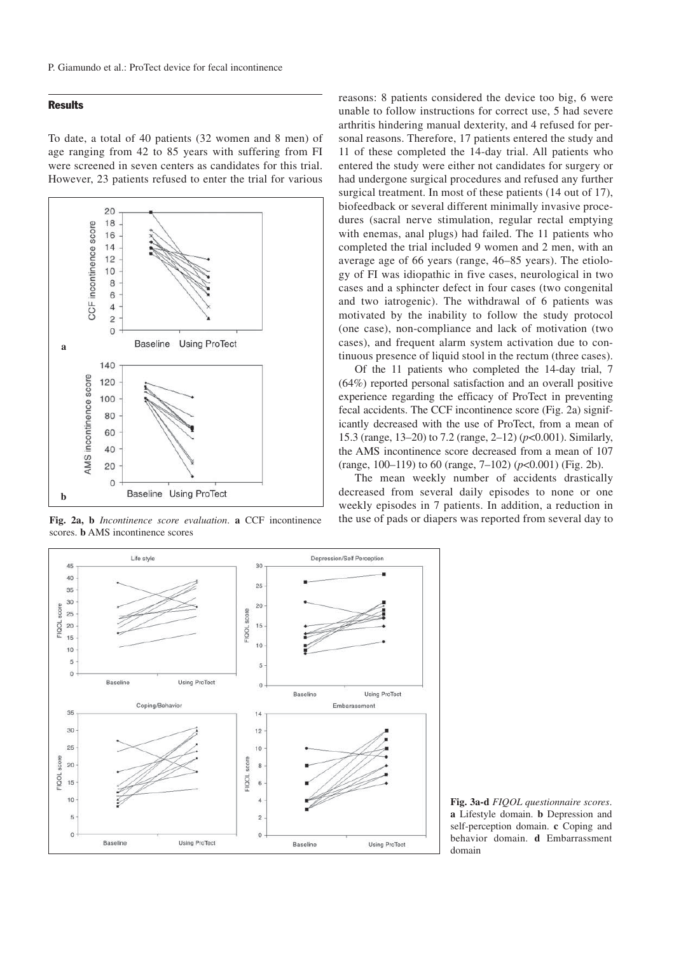## **Results**

To date, a total of 40 patients (32 women and 8 men) of age ranging from 42 to 85 years with suffering from FI were screened in seven centers as candidates for this trial. However, 23 patients refused to enter the trial for various



**Fig. 2a, b** *Incontinence score evaluation*. **a** CCF incontinence scores. **b** AMS incontinence scores

reasons: 8 patients considered the device too big, 6 were unable to follow instructions for correct use, 5 had severe arthritis hindering manual dexterity, and 4 refused for personal reasons. Therefore, 17 patients entered the study and 11 of these completed the 14-day trial. All patients who entered the study were either not candidates for surgery or had undergone surgical procedures and refused any further surgical treatment. In most of these patients (14 out of 17), biofeedback or several different minimally invasive procedures (sacral nerve stimulation, regular rectal emptying with enemas, anal plugs) had failed. The 11 patients who completed the trial included 9 women and 2 men, with an average age of 66 years (range, 46–85 years). The etiology of FI was idiopathic in five cases, neurological in two cases and a sphincter defect in four cases (two congenital and two iatrogenic). The withdrawal of 6 patients was motivated by the inability to follow the study protocol (one case), non-compliance and lack of motivation (two cases), and frequent alarm system activation due to continuous presence of liquid stool in the rectum (three cases).

Of the 11 patients who completed the 14-day trial, 7 (64%) reported personal satisfaction and an overall positive experience regarding the efficacy of ProTect in preventing fecal accidents. The CCF incontinence score (Fig. 2a) significantly decreased with the use of ProTect, from a mean of 15.3 (range, 13–20) to 7.2 (range, 2–12) (*p*<0.001). Similarly, the AMS incontinence score decreased from a mean of 107 (range, 100–119) to 60 (range, 7–102) (*p*<0.001) (Fig. 2b).

The mean weekly number of accidents drastically decreased from several daily episodes to none or one weekly episodes in 7 patients. In addition, a reduction in the use of pads or diapers was reported from several day to



**Fig. 3a-d** *FIQOL questionnaire scores*. **a** Lifestyle domain. **b** Depression and self-perception domain. **c** Coping and behavior domain. **d** Embarrassment domain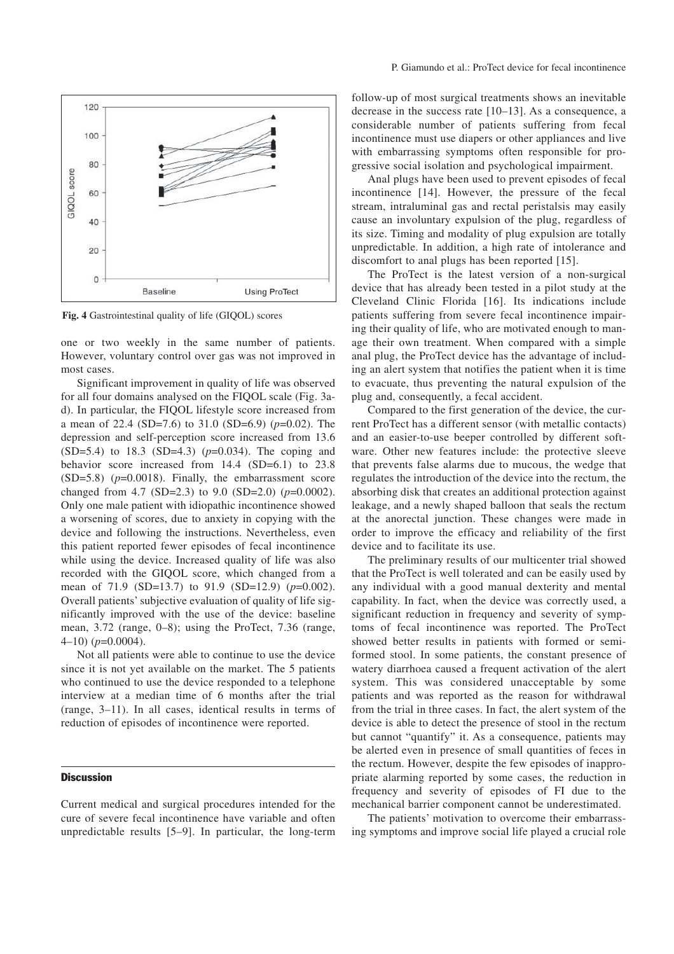



**Fig. 4** Gastrointestinal quality of life (GIQOL) scores

one or two weekly in the same number of patients. However, voluntary control over gas was not improved in most cases.

Significant improvement in quality of life was observed for all four domains analysed on the FIQOL scale (Fig. 3ad). In particular, the FIQOL lifestyle score increased from a mean of 22.4 (SD=7.6) to 31.0 (SD=6.9) (*p*=0.02). The depression and self-perception score increased from 13.6 (SD=5.4) to 18.3 (SD=4.3) (*p*=0.034). The coping and behavior score increased from 14.4 (SD=6.1) to 23.8  $(SD=5.8)$  ( $p=0.0018$ ). Finally, the embarrassment score changed from 4.7  $(SD=2.3)$  to 9.0  $(SD=2.0)$   $(p=0.0002)$ . Only one male patient with idiopathic incontinence showed a worsening of scores, due to anxiety in copying with the device and following the instructions. Nevertheless, even this patient reported fewer episodes of fecal incontinence while using the device. Increased quality of life was also recorded with the GIQOL score, which changed from a mean of 71.9 (SD=13.7) to 91.9 (SD=12.9) (*p*=0.002). Overall patients' subjective evaluation of quality of life significantly improved with the use of the device: baseline mean, 3.72 (range, 0–8); using the ProTect, 7.36 (range, 4–10) (*p*=0.0004).

Not all patients were able to continue to use the device since it is not yet available on the market. The 5 patients who continued to use the device responded to a telephone interview at a median time of 6 months after the trial (range, 3–11). In all cases, identical results in terms of reduction of episodes of incontinence were reported.

#### **Discussion**

Current medical and surgical procedures intended for the cure of severe fecal incontinence have variable and often unpredictable results [5–9]. In particular, the long-term follow-up of most surgical treatments shows an inevitable decrease in the success rate [10–13]. As a consequence, a considerable number of patients suffering from fecal incontinence must use diapers or other appliances and live with embarrassing symptoms often responsible for progressive social isolation and psychological impairment.

Anal plugs have been used to prevent episodes of fecal incontinence [14]. However, the pressure of the fecal stream, intraluminal gas and rectal peristalsis may easily cause an involuntary expulsion of the plug, regardless of its size. Timing and modality of plug expulsion are totally unpredictable. In addition, a high rate of intolerance and discomfort to anal plugs has been reported [15].

The ProTect is the latest version of a non-surgical device that has already been tested in a pilot study at the Cleveland Clinic Florida [16]. Its indications include patients suffering from severe fecal incontinence impairing their quality of life, who are motivated enough to manage their own treatment. When compared with a simple anal plug, the ProTect device has the advantage of including an alert system that notifies the patient when it is time to evacuate, thus preventing the natural expulsion of the plug and, consequently, a fecal accident.

Compared to the first generation of the device, the current ProTect has a different sensor (with metallic contacts) and an easier-to-use beeper controlled by different software. Other new features include: the protective sleeve that prevents false alarms due to mucous, the wedge that regulates the introduction of the device into the rectum, the absorbing disk that creates an additional protection against leakage, and a newly shaped balloon that seals the rectum at the anorectal junction. These changes were made in order to improve the efficacy and reliability of the first device and to facilitate its use.

The preliminary results of our multicenter trial showed that the ProTect is well tolerated and can be easily used by any individual with a good manual dexterity and mental capability. In fact, when the device was correctly used, a significant reduction in frequency and severity of symptoms of fecal incontinence was reported. The ProTect showed better results in patients with formed or semiformed stool. In some patients, the constant presence of watery diarrhoea caused a frequent activation of the alert system. This was considered unacceptable by some patients and was reported as the reason for withdrawal from the trial in three cases. In fact, the alert system of the device is able to detect the presence of stool in the rectum but cannot "quantify" it. As a consequence, patients may be alerted even in presence of small quantities of feces in the rectum. However, despite the few episodes of inappropriate alarming reported by some cases, the reduction in frequency and severity of episodes of FI due to the mechanical barrier component cannot be underestimated.

The patients' motivation to overcome their embarrassing symptoms and improve social life played a crucial role